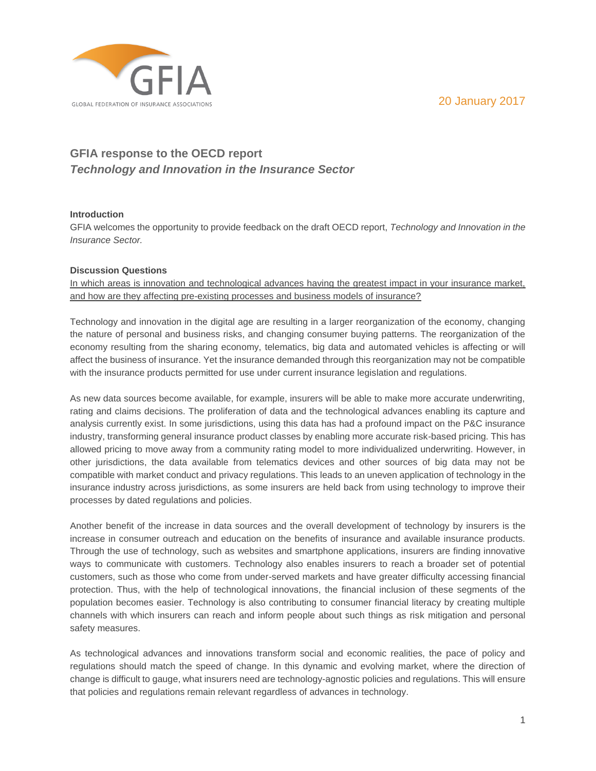20 January 2017



# **GFIA response to the OECD report** *Technology and Innovation in the Insurance Sector*

### **Introduction**

GFIA welcomes the opportunity to provide feedback on the draft OECD report, *Technology and Innovation in the Insurance Sector.*

# **Discussion Questions**

In which areas is innovation and technological advances having the greatest impact in your insurance market, and how are they affecting pre-existing processes and business models of insurance?

Technology and innovation in the digital age are resulting in a larger reorganization of the economy, changing the nature of personal and business risks, and changing consumer buying patterns. The reorganization of the economy resulting from the sharing economy, telematics, big data and automated vehicles is affecting or will affect the business of insurance. Yet the insurance demanded through this reorganization may not be compatible with the insurance products permitted for use under current insurance legislation and regulations.

As new data sources become available, for example, insurers will be able to make more accurate underwriting, rating and claims decisions. The proliferation of data and the technological advances enabling its capture and analysis currently exist. In some jurisdictions, using this data has had a profound impact on the P&C insurance industry, transforming general insurance product classes by enabling more accurate risk-based pricing. This has allowed pricing to move away from a community rating model to more individualized underwriting. However, in other jurisdictions, the data available from telematics devices and other sources of big data may not be compatible with market conduct and privacy regulations. This leads to an uneven application of technology in the insurance industry across jurisdictions, as some insurers are held back from using technology to improve their processes by dated regulations and policies.

Another benefit of the increase in data sources and the overall development of technology by insurers is the increase in consumer outreach and education on the benefits of insurance and available insurance products. Through the use of technology, such as websites and smartphone applications, insurers are finding innovative ways to communicate with customers. Technology also enables insurers to reach a broader set of potential customers, such as those who come from under-served markets and have greater difficulty accessing financial protection. Thus, with the help of technological innovations, the financial inclusion of these segments of the population becomes easier. Technology is also contributing to consumer financial literacy by creating multiple channels with which insurers can reach and inform people about such things as risk mitigation and personal safety measures.

As technological advances and innovations transform social and economic realities, the pace of policy and regulations should match the speed of change. In this dynamic and evolving market, where the direction of change is difficult to gauge, what insurers need are technology-agnostic policies and regulations. This will ensure that policies and regulations remain relevant regardless of advances in technology.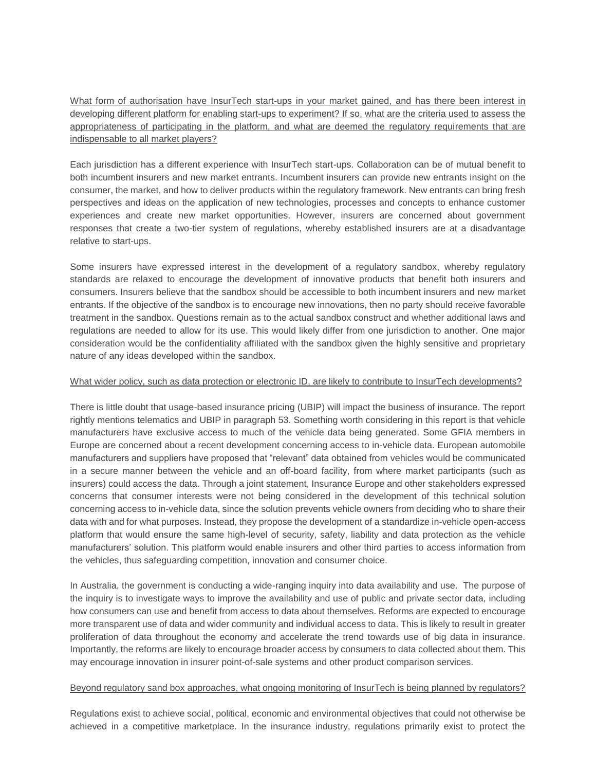What form of authorisation have InsurTech start-ups in your market gained, and has there been interest in developing different platform for enabling start-ups to experiment? If so, what are the criteria used to assess the appropriateness of participating in the platform, and what are deemed the regulatory requirements that are indispensable to all market players?

Each jurisdiction has a different experience with InsurTech start-ups. Collaboration can be of mutual benefit to both incumbent insurers and new market entrants. Incumbent insurers can provide new entrants insight on the consumer, the market, and how to deliver products within the regulatory framework. New entrants can bring fresh perspectives and ideas on the application of new technologies, processes and concepts to enhance customer experiences and create new market opportunities. However, insurers are concerned about government responses that create a two-tier system of regulations, whereby established insurers are at a disadvantage relative to start-ups.

Some insurers have expressed interest in the development of a regulatory sandbox, whereby regulatory standards are relaxed to encourage the development of innovative products that benefit both insurers and consumers. Insurers believe that the sandbox should be accessible to both incumbent insurers and new market entrants. If the objective of the sandbox is to encourage new innovations, then no party should receive favorable treatment in the sandbox. Questions remain as to the actual sandbox construct and whether additional laws and regulations are needed to allow for its use. This would likely differ from one jurisdiction to another. One major consideration would be the confidentiality affiliated with the sandbox given the highly sensitive and proprietary nature of any ideas developed within the sandbox.

#### What wider policy, such as data protection or electronic ID, are likely to contribute to InsurTech developments?

There is little doubt that usage-based insurance pricing (UBIP) will impact the business of insurance. The report rightly mentions telematics and UBIP in paragraph 53. Something worth considering in this report is that vehicle manufacturers have exclusive access to much of the vehicle data being generated. Some GFIA members in Europe are concerned about a recent development concerning access to in-vehicle data. European automobile manufacturers and suppliers have proposed that "relevant" data obtained from vehicles would be communicated in a secure manner between the vehicle and an off-board facility, from where market participants (such as insurers) could access the data. Through a joint statement, Insurance Europe and other stakeholders expressed concerns that consumer interests were not being considered in the development of this technical solution concerning access to in-vehicle data, since the solution prevents vehicle owners from deciding who to share their data with and for what purposes. Instead, they propose the development of a standardize in-vehicle open-access platform that would ensure the same high-level of security, safety, liability and data protection as the vehicle manufacturers' solution. This platform would enable insurers and other third parties to access information from the vehicles, thus safeguarding competition, innovation and consumer choice.

In Australia, the government is conducting a wide-ranging inquiry into data availability and use. The purpose of the inquiry is to investigate ways to improve the availability and use of public and private sector data, including how consumers can use and benefit from access to data about themselves. Reforms are expected to encourage more transparent use of data and wider community and individual access to data. This is likely to result in greater proliferation of data throughout the economy and accelerate the trend towards use of big data in insurance. Importantly, the reforms are likely to encourage broader access by consumers to data collected about them. This may encourage innovation in insurer point-of-sale systems and other product comparison services.

### Beyond regulatory sand box approaches, what ongoing monitoring of InsurTech is being planned by regulators?

Regulations exist to achieve social, political, economic and environmental objectives that could not otherwise be achieved in a competitive marketplace. In the insurance industry, regulations primarily exist to protect the